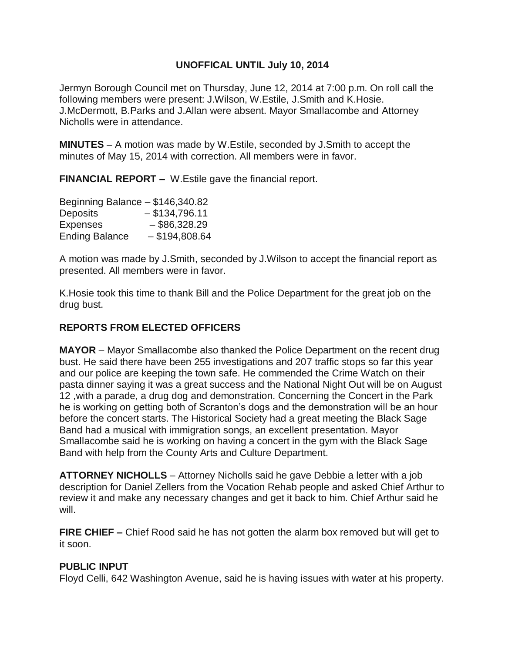### **UNOFFICAL UNTIL July 10, 2014**

Jermyn Borough Council met on Thursday, June 12, 2014 at 7:00 p.m. On roll call the following members were present: J.Wilson, W.Estile, J.Smith and K.Hosie. J.McDermott, B.Parks and J.Allan were absent. Mayor Smallacombe and Attorney Nicholls were in attendance.

**MINUTES** – A motion was made by W.Estile, seconded by J.Smith to accept the minutes of May 15, 2014 with correction. All members were in favor.

**FINANCIAL REPORT –** W.Estile gave the financial report.

| Beginning Balance $-$ \$146,340.82 |                  |
|------------------------------------|------------------|
| <b>Deposits</b>                    | $-$ \$134,796.11 |
| <b>Expenses</b>                    | $-$ \$86,328.29  |
| <b>Ending Balance</b>              | $-$ \$194,808.64 |

A motion was made by J.Smith, seconded by J.Wilson to accept the financial report as presented. All members were in favor.

K.Hosie took this time to thank Bill and the Police Department for the great job on the drug bust.

# **REPORTS FROM ELECTED OFFICERS**

**MAYOR** – Mayor Smallacombe also thanked the Police Department on the recent drug bust. He said there have been 255 investigations and 207 traffic stops so far this year and our police are keeping the town safe. He commended the Crime Watch on their pasta dinner saying it was a great success and the National Night Out will be on August 12 ,with a parade, a drug dog and demonstration. Concerning the Concert in the Park he is working on getting both of Scranton's dogs and the demonstration will be an hour before the concert starts. The Historical Society had a great meeting the Black Sage Band had a musical with immigration songs, an excellent presentation. Mayor Smallacombe said he is working on having a concert in the gym with the Black Sage Band with help from the County Arts and Culture Department.

**ATTORNEY NICHOLLS** – Attorney Nicholls said he gave Debbie a letter with a job description for Daniel Zellers from the Vocation Rehab people and asked Chief Arthur to review it and make any necessary changes and get it back to him. Chief Arthur said he will.

**FIRE CHIEF –** Chief Rood said he has not gotten the alarm box removed but will get to it soon.

# **PUBLIC INPUT**

Floyd Celli, 642 Washington Avenue, said he is having issues with water at his property.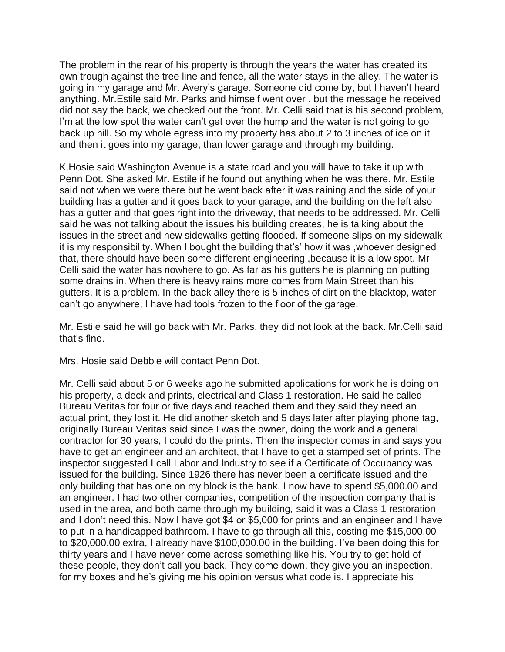The problem in the rear of his property is through the years the water has created its own trough against the tree line and fence, all the water stays in the alley. The water is going in my garage and Mr. Avery's garage. Someone did come by, but I haven't heard anything. Mr.Estile said Mr. Parks and himself went over , but the message he received did not say the back, we checked out the front. Mr. Celli said that is his second problem, I'm at the low spot the water can't get over the hump and the water is not going to go back up hill. So my whole egress into my property has about 2 to 3 inches of ice on it and then it goes into my garage, than lower garage and through my building.

K.Hosie said Washington Avenue is a state road and you will have to take it up with Penn Dot. She asked Mr. Estile if he found out anything when he was there. Mr. Estile said not when we were there but he went back after it was raining and the side of your building has a gutter and it goes back to your garage, and the building on the left also has a gutter and that goes right into the driveway, that needs to be addressed. Mr. Celli said he was not talking about the issues his building creates, he is talking about the issues in the street and new sidewalks getting flooded. If someone slips on my sidewalk it is my responsibility. When I bought the building that's' how it was ,whoever designed that, there should have been some different engineering ,because it is a low spot. Mr Celli said the water has nowhere to go. As far as his gutters he is planning on putting some drains in. When there is heavy rains more comes from Main Street than his gutters. It is a problem. In the back alley there is 5 inches of dirt on the blacktop, water can't go anywhere, I have had tools frozen to the floor of the garage.

Mr. Estile said he will go back with Mr. Parks, they did not look at the back. Mr.Celli said that's fine.

Mrs. Hosie said Debbie will contact Penn Dot.

Mr. Celli said about 5 or 6 weeks ago he submitted applications for work he is doing on his property, a deck and prints, electrical and Class 1 restoration. He said he called Bureau Veritas for four or five days and reached them and they said they need an actual print, they lost it. He did another sketch and 5 days later after playing phone tag, originally Bureau Veritas said since I was the owner, doing the work and a general contractor for 30 years, I could do the prints. Then the inspector comes in and says you have to get an engineer and an architect, that I have to get a stamped set of prints. The inspector suggested I call Labor and Industry to see if a Certificate of Occupancy was issued for the building. Since 1926 there has never been a certificate issued and the only building that has one on my block is the bank. I now have to spend \$5,000.00 and an engineer. I had two other companies, competition of the inspection company that is used in the area, and both came through my building, said it was a Class 1 restoration and I don't need this. Now I have got \$4 or \$5,000 for prints and an engineer and I have to put in a handicapped bathroom. I have to go through all this, costing me \$15,000.00 to \$20,000.00 extra, I already have \$100,000.00 in the building. I've been doing this for thirty years and I have never come across something like his. You try to get hold of these people, they don't call you back. They come down, they give you an inspection, for my boxes and he's giving me his opinion versus what code is. I appreciate his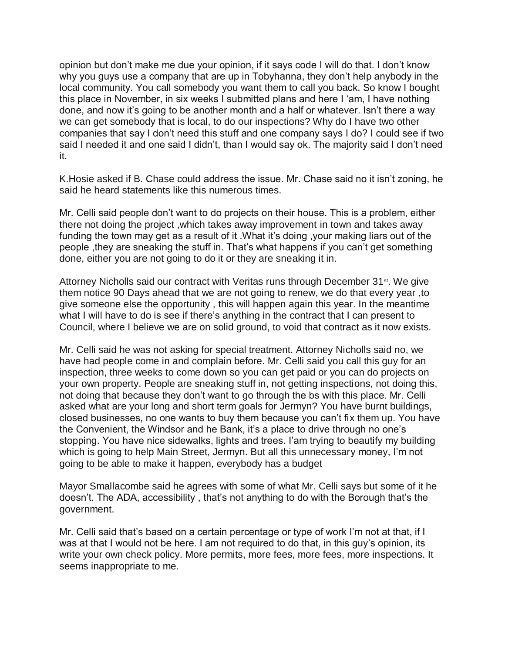opinion but don't make me due your opinion, if it says code I will do that. I don't know why you guys use a company that are up in Tobyhanna, they don't help anybody in the local community. You call somebody you want them to call you back. So know I bought this place in November, in six weeks I submitted plans and here I 'am, I have nothing done, and now it's going to be another month and a half or whatever. Isn't there a way we can get somebody that is local, to do our inspections? Why do I have two other companies that say I don't need this stuff and one company says I do? I could see if two said I needed it and one said I didn't, than I would say ok. The majority said I don't need it.

K.Hosie asked if B. Chase could address the issue. Mr. Chase said no it isn't zoning, he said he heard statements like this numerous times.

Mr. Celli said people don't want to do projects on their house. This is a problem, either there not doing the project ,which takes away improvement in town and takes away funding the town may get as a result of it .What it's doing ,your making liars out of the people ,they are sneaking the stuff in. That's what happens if you can't get something done, either you are not going to do it or they are sneaking it in.

Attorney Nicholls said our contract with Veritas runs through December 31<sup>st</sup>. We give them notice 90 Days ahead that we are not going to renew, we do that every year ,to give someone else the opportunity , this will happen again this year. In the meantime what I will have to do is see if there's anything in the contract that I can present to Council, where I believe we are on solid ground, to void that contract as it now exists.

Mr. Celli said he was not asking for special treatment. Attorney Nicholls said no, we have had people come in and complain before. Mr. Celli said you call this guy for an inspection, three weeks to come down so you can get paid or you can do projects on your own property. People are sneaking stuff in, not getting inspections, not doing this, not doing that because they don't want to go through the bs with this place. Mr. Celli asked what are your long and short term goals for Jermyn? You have burnt buildings, closed businesses, no one wants to buy them because you can't fix them up. You have the Convenient, the Windsor and he Bank, it's a place to drive through no one's stopping. You have nice sidewalks, lights and trees. I'am trying to beautify my building which is going to help Main Street, Jermyn. But all this unnecessary money, I'm not going to be able to make it happen, everybody has a budget

Mayor Smallacombe said he agrees with some of what Mr. Celli says but some of it he doesn't. The ADA, accessibility , that's not anything to do with the Borough that's the government.

Mr. Celli said that's based on a certain percentage or type of work I'm not at that, if I was at that I would not be here. I am not required to do that, in this guy's opinion, its write your own check policy. More permits, more fees, more fees, more inspections. It seems inappropriate to me.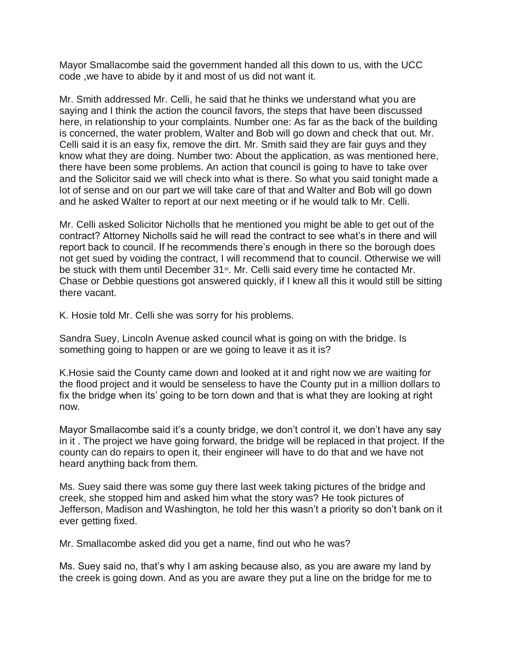Mayor Smallacombe said the government handed all this down to us, with the UCC code ,we have to abide by it and most of us did not want it.

Mr. Smith addressed Mr. Celli, he said that he thinks we understand what you are saying and I think the action the council favors, the steps that have been discussed here, in relationship to your complaints. Number one: As far as the back of the building is concerned, the water problem, Walter and Bob will go down and check that out. Mr. Celli said it is an easy fix, remove the dirt. Mr. Smith said they are fair guys and they know what they are doing. Number two: About the application, as was mentioned here, there have been some problems. An action that council is going to have to take over and the Solicitor said we will check into what is there. So what you said tonight made a lot of sense and on our part we will take care of that and Walter and Bob will go down and he asked Walter to report at our next meeting or if he would talk to Mr. Celli.

Mr. Celli asked Solicitor Nicholls that he mentioned you might be able to get out of the contract? Attorney Nicholls said he will read the contract to see what's in there and will report back to council. If he recommends there's enough in there so the borough does not get sued by voiding the contract, I will recommend that to council. Otherwise we will be stuck with them until December 31st. Mr. Celli said every time he contacted Mr. Chase or Debbie questions got answered quickly, if I knew all this it would still be sitting there vacant.

K. Hosie told Mr. Celli she was sorry for his problems.

Sandra Suey, Lincoln Avenue asked council what is going on with the bridge. Is something going to happen or are we going to leave it as it is?

K.Hosie said the County came down and looked at it and right now we are waiting for the flood project and it would be senseless to have the County put in a million dollars to fix the bridge when its' going to be torn down and that is what they are looking at right now.

Mayor Smallacombe said it's a county bridge, we don't control it, we don't have any say in it . The project we have going forward, the bridge will be replaced in that project. If the county can do repairs to open it, their engineer will have to do that and we have not heard anything back from them.

Ms. Suey said there was some guy there last week taking pictures of the bridge and creek, she stopped him and asked him what the story was? He took pictures of Jefferson, Madison and Washington, he told her this wasn't a priority so don't bank on it ever getting fixed.

Mr. Smallacombe asked did you get a name, find out who he was?

Ms. Suey said no, that's why I am asking because also, as you are aware my land by the creek is going down. And as you are aware they put a line on the bridge for me to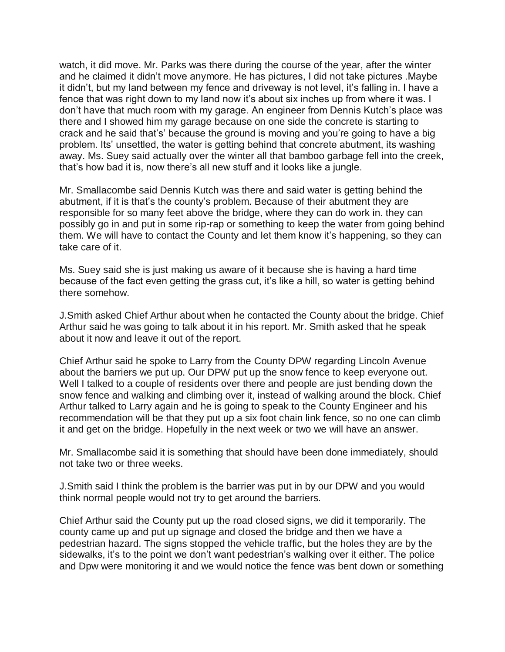watch, it did move. Mr. Parks was there during the course of the year, after the winter and he claimed it didn't move anymore. He has pictures, I did not take pictures .Maybe it didn't, but my land between my fence and driveway is not level, it's falling in. I have a fence that was right down to my land now it's about six inches up from where it was. I don't have that much room with my garage. An engineer from Dennis Kutch's place was there and I showed him my garage because on one side the concrete is starting to crack and he said that's' because the ground is moving and you're going to have a big problem. Its' unsettled, the water is getting behind that concrete abutment, its washing away. Ms. Suey said actually over the winter all that bamboo garbage fell into the creek, that's how bad it is, now there's all new stuff and it looks like a jungle.

Mr. Smallacombe said Dennis Kutch was there and said water is getting behind the abutment, if it is that's the county's problem. Because of their abutment they are responsible for so many feet above the bridge, where they can do work in. they can possibly go in and put in some rip-rap or something to keep the water from going behind them. We will have to contact the County and let them know it's happening, so they can take care of it.

Ms. Suey said she is just making us aware of it because she is having a hard time because of the fact even getting the grass cut, it's like a hill, so water is getting behind there somehow.

J.Smith asked Chief Arthur about when he contacted the County about the bridge. Chief Arthur said he was going to talk about it in his report. Mr. Smith asked that he speak about it now and leave it out of the report.

Chief Arthur said he spoke to Larry from the County DPW regarding Lincoln Avenue about the barriers we put up. Our DPW put up the snow fence to keep everyone out. Well I talked to a couple of residents over there and people are just bending down the snow fence and walking and climbing over it, instead of walking around the block. Chief Arthur talked to Larry again and he is going to speak to the County Engineer and his recommendation will be that they put up a six foot chain link fence, so no one can climb it and get on the bridge. Hopefully in the next week or two we will have an answer.

Mr. Smallacombe said it is something that should have been done immediately, should not take two or three weeks.

J.Smith said I think the problem is the barrier was put in by our DPW and you would think normal people would not try to get around the barriers.

Chief Arthur said the County put up the road closed signs, we did it temporarily. The county came up and put up signage and closed the bridge and then we have a pedestrian hazard. The signs stopped the vehicle traffic, but the holes they are by the sidewalks, it's to the point we don't want pedestrian's walking over it either. The police and Dpw were monitoring it and we would notice the fence was bent down or something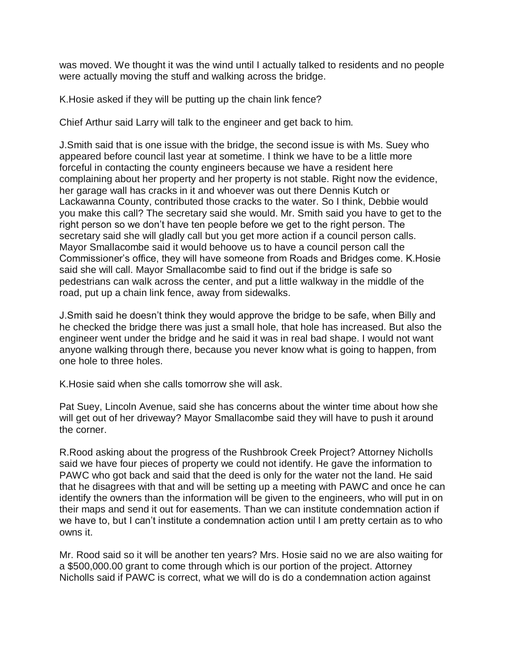was moved. We thought it was the wind until I actually talked to residents and no people were actually moving the stuff and walking across the bridge.

K.Hosie asked if they will be putting up the chain link fence?

Chief Arthur said Larry will talk to the engineer and get back to him.

J.Smith said that is one issue with the bridge, the second issue is with Ms. Suey who appeared before council last year at sometime. I think we have to be a little more forceful in contacting the county engineers because we have a resident here complaining about her property and her property is not stable. Right now the evidence, her garage wall has cracks in it and whoever was out there Dennis Kutch or Lackawanna County, contributed those cracks to the water. So I think, Debbie would you make this call? The secretary said she would. Mr. Smith said you have to get to the right person so we don't have ten people before we get to the right person. The secretary said she will gladly call but you get more action if a council person calls. Mayor Smallacombe said it would behoove us to have a council person call the Commissioner's office, they will have someone from Roads and Bridges come. K.Hosie said she will call. Mayor Smallacombe said to find out if the bridge is safe so pedestrians can walk across the center, and put a little walkway in the middle of the road, put up a chain link fence, away from sidewalks.

J.Smith said he doesn't think they would approve the bridge to be safe, when Billy and he checked the bridge there was just a small hole, that hole has increased. But also the engineer went under the bridge and he said it was in real bad shape. I would not want anyone walking through there, because you never know what is going to happen, from one hole to three holes.

K.Hosie said when she calls tomorrow she will ask.

Pat Suey, Lincoln Avenue, said she has concerns about the winter time about how she will get out of her driveway? Mayor Smallacombe said they will have to push it around the corner.

R.Rood asking about the progress of the Rushbrook Creek Project? Attorney Nicholls said we have four pieces of property we could not identify. He gave the information to PAWC who got back and said that the deed is only for the water not the land. He said that he disagrees with that and will be setting up a meeting with PAWC and once he can identify the owners than the information will be given to the engineers, who will put in on their maps and send it out for easements. Than we can institute condemnation action if we have to, but I can't institute a condemnation action until I am pretty certain as to who owns it.

Mr. Rood said so it will be another ten years? Mrs. Hosie said no we are also waiting for a \$500,000.00 grant to come through which is our portion of the project. Attorney Nicholls said if PAWC is correct, what we will do is do a condemnation action against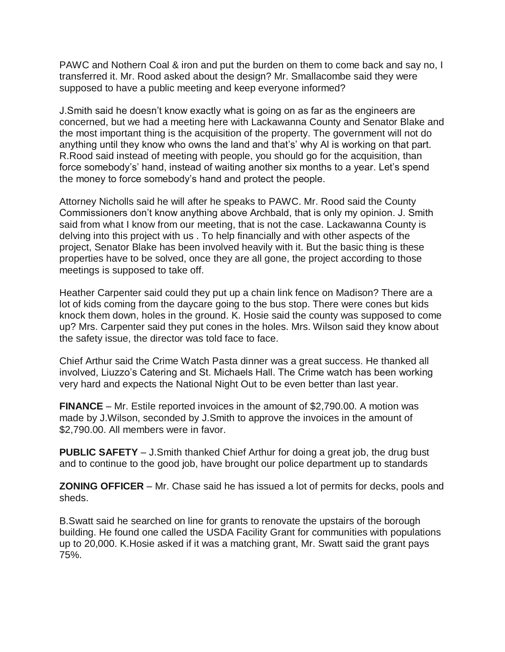PAWC and Nothern Coal & iron and put the burden on them to come back and say no, I transferred it. Mr. Rood asked about the design? Mr. Smallacombe said they were supposed to have a public meeting and keep everyone informed?

J.Smith said he doesn't know exactly what is going on as far as the engineers are concerned, but we had a meeting here with Lackawanna County and Senator Blake and the most important thing is the acquisition of the property. The government will not do anything until they know who owns the land and that's' why Al is working on that part. R.Rood said instead of meeting with people, you should go for the acquisition, than force somebody's' hand, instead of waiting another six months to a year. Let's spend the money to force somebody's hand and protect the people.

Attorney Nicholls said he will after he speaks to PAWC. Mr. Rood said the County Commissioners don't know anything above Archbald, that is only my opinion. J. Smith said from what I know from our meeting, that is not the case. Lackawanna County is delving into this project with us . To help financially and with other aspects of the project, Senator Blake has been involved heavily with it. But the basic thing is these properties have to be solved, once they are all gone, the project according to those meetings is supposed to take off.

Heather Carpenter said could they put up a chain link fence on Madison? There are a lot of kids coming from the daycare going to the bus stop. There were cones but kids knock them down, holes in the ground. K. Hosie said the county was supposed to come up? Mrs. Carpenter said they put cones in the holes. Mrs. Wilson said they know about the safety issue, the director was told face to face.

Chief Arthur said the Crime Watch Pasta dinner was a great success. He thanked all involved, Liuzzo's Catering and St. Michaels Hall. The Crime watch has been working very hard and expects the National Night Out to be even better than last year.

**FINANCE** – Mr. Estile reported invoices in the amount of \$2,790.00. A motion was made by J.Wilson, seconded by J.Smith to approve the invoices in the amount of \$2,790.00. All members were in favor.

**PUBLIC SAFETY** – J.Smith thanked Chief Arthur for doing a great job, the drug bust and to continue to the good job, have brought our police department up to standards

**ZONING OFFICER** – Mr. Chase said he has issued a lot of permits for decks, pools and sheds.

B.Swatt said he searched on line for grants to renovate the upstairs of the borough building. He found one called the USDA Facility Grant for communities with populations up to 20,000. K.Hosie asked if it was a matching grant, Mr. Swatt said the grant pays 75%.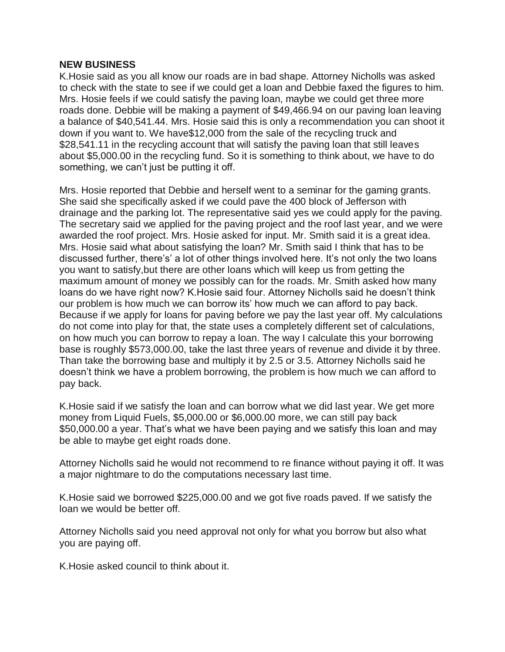#### **NEW BUSINESS**

K.Hosie said as you all know our roads are in bad shape. Attorney Nicholls was asked to check with the state to see if we could get a loan and Debbie faxed the figures to him. Mrs. Hosie feels if we could satisfy the paving loan, maybe we could get three more roads done. Debbie will be making a payment of \$49,466.94 on our paving loan leaving a balance of \$40,541.44. Mrs. Hosie said this is only a recommendation you can shoot it down if you want to. We have\$12,000 from the sale of the recycling truck and \$28,541.11 in the recycling account that will satisfy the paving loan that still leaves about \$5,000.00 in the recycling fund. So it is something to think about, we have to do something, we can't just be putting it off.

Mrs. Hosie reported that Debbie and herself went to a seminar for the gaming grants. She said she specifically asked if we could pave the 400 block of Jefferson with drainage and the parking lot. The representative said yes we could apply for the paving. The secretary said we applied for the paving project and the roof last year, and we were awarded the roof project. Mrs. Hosie asked for input. Mr. Smith said it is a great idea. Mrs. Hosie said what about satisfying the loan? Mr. Smith said I think that has to be discussed further, there's' a lot of other things involved here. It's not only the two loans you want to satisfy,but there are other loans which will keep us from getting the maximum amount of money we possibly can for the roads. Mr. Smith asked how many loans do we have right now? K.Hosie said four. Attorney Nicholls said he doesn't think our problem is how much we can borrow its' how much we can afford to pay back. Because if we apply for loans for paving before we pay the last year off. My calculations do not come into play for that, the state uses a completely different set of calculations, on how much you can borrow to repay a loan. The way I calculate this your borrowing base is roughly \$573,000.00, take the last three years of revenue and divide it by three. Than take the borrowing base and multiply it by 2.5 or 3.5. Attorney Nicholls said he doesn't think we have a problem borrowing, the problem is how much we can afford to pay back.

K.Hosie said if we satisfy the loan and can borrow what we did last year. We get more money from Liquid Fuels, \$5,000.00 or \$6,000.00 more, we can still pay back \$50,000.00 a year. That's what we have been paying and we satisfy this loan and may be able to maybe get eight roads done.

Attorney Nicholls said he would not recommend to re finance without paying it off. It was a major nightmare to do the computations necessary last time.

K.Hosie said we borrowed \$225,000.00 and we got five roads paved. If we satisfy the loan we would be better off.

Attorney Nicholls said you need approval not only for what you borrow but also what you are paying off.

K.Hosie asked council to think about it.